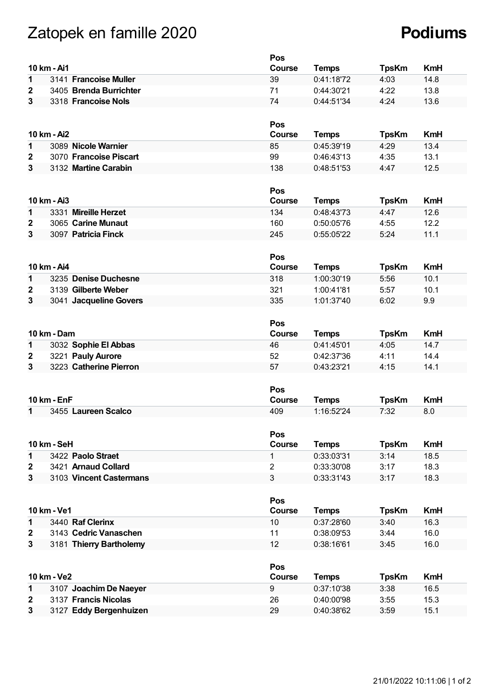## Zatopek en famille 2020 **Podiums**

|              |                         | Pos           |              |              |            |
|--------------|-------------------------|---------------|--------------|--------------|------------|
|              | 10 km - Ai1             | Course        | <b>Temps</b> | <b>TpsKm</b> | <b>KmH</b> |
| 1            | 3141 Francoise Muller   | 39            | 0:41:18'72   | 4:03         | 14.8       |
| 2            | 3405 Brenda Burrichter  | 71            | 0:44:30'21   | 4:22         | 13.8       |
| 3            | 3318 Francoise Nols     | 74            | 0:44:51'34   | 4:24         | 13.6       |
|              |                         |               |              |              |            |
|              |                         | Pos           |              |              |            |
|              | 10 km - Ai2             | Course        | <b>Temps</b> | <b>TpsKm</b> | <b>KmH</b> |
| 1            | 3089 Nicole Warnier     | 85            | 0:45:39'19   | 4:29         | 13.4       |
| 2            | 3070 Francoise Piscart  | 99            | 0:46:43'13   | 4:35         | 13.1       |
| 3            | 3132 Martine Carabin    | 138           | 0:48:51'53   | 4:47         | 12.5       |
|              |                         |               |              |              |            |
|              |                         | <b>Pos</b>    |              |              |            |
|              | 10 km - Ai3             | <b>Course</b> | <b>Temps</b> | <b>TpsKm</b> | <b>KmH</b> |
| 1            | 3331 Mireille Herzet    | 134           | 0:48:43'73   | 4:47         | 12.6       |
| 2            | 3065 Carine Munaut      | 160           | 0:50:05'76   | 4:55         | 12.2       |
| 3            | 3097 Patricia Finck     | 245           | 0:55:05'22   | 5:24         | 11.1       |
|              |                         |               |              |              |            |
|              |                         | Pos           |              |              |            |
|              | 10 km - Ai4             | <b>Course</b> | <b>Temps</b> | <b>TpsKm</b> | <b>KmH</b> |
| 1            | 3235 Denise Duchesne    | 318           | 1:00:30'19   | 5:56         | 10.1       |
| $\mathbf{2}$ | 3139 Gilberte Weber     | 321           | 1:00:41'81   | 5:57         | 10.1       |
| 3            | 3041 Jacqueline Govers  | 335           | 1:01:37'40   | 6:02         | 9.9        |
|              |                         |               |              |              |            |
|              |                         | Pos           |              |              |            |
|              | 10 km - Dam             | <b>Course</b> | <b>Temps</b> | <b>TpsKm</b> | <b>KmH</b> |
| 1            | 3032 Sophie El Abbas    | 46            | 0:41:45'01   | 4:05         | 14.7       |
| 2            | 3221 Pauly Aurore       | 52            | 0:42:37'36   | 4:11         | 14.4       |
| 3            | 3223 Catherine Pierron  | 57            | 0:43:23'21   | 4:15         | 14.1       |
|              |                         |               |              |              |            |
|              |                         | Pos           |              |              |            |
|              | <b>10 km - EnF</b>      | <b>Course</b> | <b>Temps</b> | <b>TpsKm</b> | <b>KmH</b> |
| 1            | 3455 Laureen Scalco     | 409           | 1:16:52'24   | 7:32         | 8.0        |
|              |                         |               |              |              |            |
|              |                         | Pos           |              |              |            |
|              | <b>10 km - SeH</b>      | Course        | <b>Temps</b> | <b>TpsKm</b> | <b>KmH</b> |
| 1            | 3422 Paolo Straet       | $\mathbf{1}$  | 0:33:03'31   | 3:14         | 18.5       |
| $\mathbf{2}$ | 3421 Arnaud Collard     | 2             | 0:33:30'08   | 3:17         | 18.3       |
| 3            | 3103 Vincent Castermans | 3             | 0:33:31'43   | 3:17         | 18.3       |
|              |                         |               |              |              |            |
|              |                         | <b>Pos</b>    |              |              |            |
|              | 10 km - Ve1             | <b>Course</b> | <b>Temps</b> | <b>TpsKm</b> | <b>KmH</b> |
| $\mathbf{1}$ | 3440 Raf Clerinx        | 10            | 0:37:28'60   | 3:40         | 16.3       |
| 2            | 3143 Cedric Vanaschen   | 11            | 0:38:09'53   | 3:44         | 16.0       |
| 3            | 3181 Thierry Bartholemy | 12            | 0:38:16'61   | 3:45         | 16.0       |
|              |                         |               |              |              |            |
|              |                         | Pos           |              |              |            |
|              | 10 km - Ve2             | <b>Course</b> | <b>Temps</b> | <b>TpsKm</b> | <b>KmH</b> |
| 1            | 3107 Joachim De Naeyer  | 9             | 0:37:10'38   | 3:38         | 16.5       |
| $\mathbf{2}$ | 3137 Francis Nicolas    | 26            | 0:40:00'98   | 3:55         | 15.3       |
| 3            | 3127 Eddy Bergenhuizen  | 29            | 0:40:38'62   | 3:59         | 15.1       |